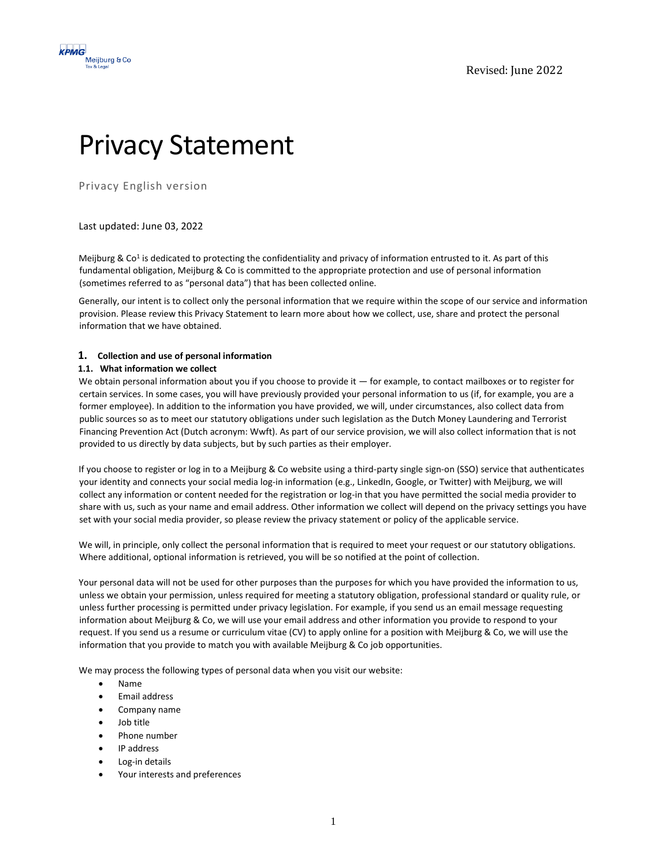

# Privacy Statement

Privacy English version

# Last updated: June 03, 2022

Meijburg & Co<sup>1</sup> is dedicated to protecting the confidentiality and privacy of information entrusted to it. As part of this fundamental obligation, Meijburg & Co is committed to the appropriate protection and use of personal information (sometimes referred to as "personal data") that has been collected online.

Generally, our intent is to collect only the personal information that we require within the scope of our service and information provision. Please review this Privacy Statement to learn more about how we collect, use, share and protect the personal information that we have obtained.

# **1. Collection and use of personal information**

# **1.1. What information we collect**

We obtain personal information about you if you choose to provide it  $-$  for example, to contact mailboxes or to register for certain services. In some cases, you will have previously provided your personal information to us (if, for example, you are a former employee). In addition to the information you have provided, we will, under circumstances, also collect data from public sources so as to meet our statutory obligations under such legislation as the Dutch Money Laundering and Terrorist Financing Prevention Act (Dutch acronym: Wwft). As part of our service provision, we will also collect information that is not provided to us directly by data subjects, but by such parties as their employer.

If you choose to register or log in to a Meijburg & Co website using a third-party single sign-on (SSO) service that authenticates your identity and connects your social media log-in information (e.g., LinkedIn, Google, or Twitter) with Meijburg, we will collect any information or content needed for the registration or log-in that you have permitted the social media provider to share with us, such as your name and email address. Other information we collect will depend on the privacy settings you have set with your social media provider, so please review the privacy statement or policy of the applicable service.

We will, in principle, only collect the personal information that is required to meet your request or our statutory obligations. Where additional, optional information is retrieved, you will be so notified at the point of collection.

Your personal data will not be used for other purposes than the purposes for which you have provided the information to us, unless we obtain your permission, unless required for meeting a statutory obligation, professional standard or quality rule, or unless further processing is permitted under privacy legislation. For example, if you send us an email message requesting information about Meijburg & Co, we will use your email address and other information you provide to respond to your request. If you send us a resume or curriculum vitae (CV) to apply online for a position with Meijburg & Co, we will use the information that you provide to match you with available Meijburg & Co job opportunities.

We may process the following types of personal data when you visit our website:

- Name
- Email address
- Company name
- Job title
- Phone number
- IP address
- Log-in details
- Your interests and preferences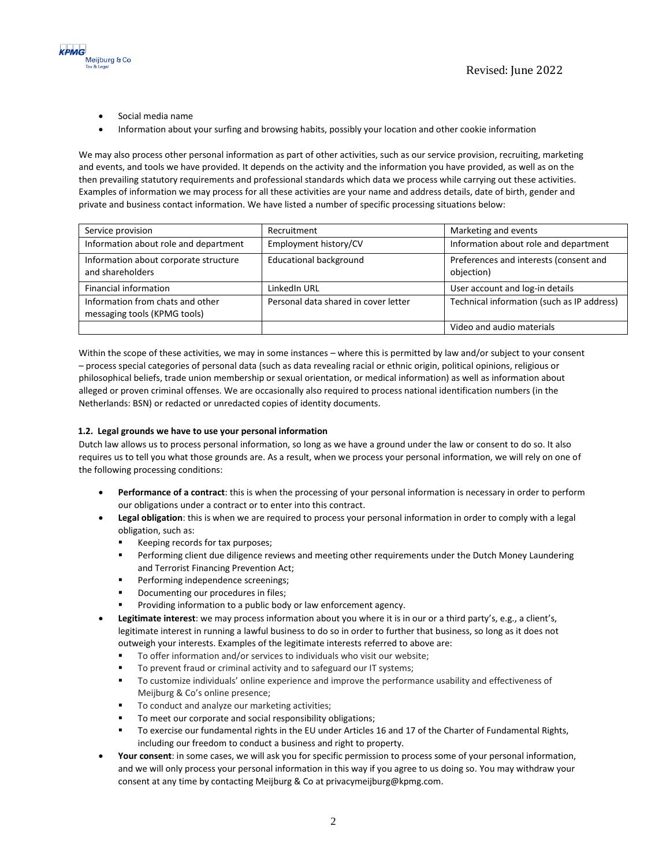

- Social media name
- Information about your surfing and browsing habits, possibly your location and other cookie information

We may also process other personal information as part of other activities, such as our service provision, recruiting, marketing and events, and tools we have provided. It depends on the activity and the information you have provided, as well as on the then prevailing statutory requirements and professional standards which data we process while carrying out these activities. Examples of information we may process for all these activities are your name and address details, date of birth, gender and private and business contact information. We have listed a number of specific processing situations below:

| Service provision                                                | Recruitment                          | Marketing and events                                 |
|------------------------------------------------------------------|--------------------------------------|------------------------------------------------------|
| Information about role and department                            | Employment history/CV                | Information about role and department                |
| Information about corporate structure<br>and shareholders        | <b>Educational background</b>        | Preferences and interests (consent and<br>objection) |
| Financial information                                            | LinkedIn URL                         | User account and log-in details                      |
| Information from chats and other<br>messaging tools (KPMG tools) | Personal data shared in cover letter | Technical information (such as IP address)           |
|                                                                  |                                      | Video and audio materials                            |

Within the scope of these activities, we may in some instances – where this is permitted by law and/or subject to your consent – process special categories of personal data (such as data revealing racial or ethnic origin, political opinions, religious or philosophical beliefs, trade union membership or sexual orientation, or medical information) as well as information about alleged or proven criminal offenses. We are occasionally also required to process national identification numbers (in the Netherlands: BSN) or redacted or unredacted copies of identity documents.

# **1.2. Legal grounds we have to use your personal information**

Dutch law allows us to process personal information, so long as we have a ground under the law or consent to do so. It also requires us to tell you what those grounds are. As a result, when we process your personal information, we will rely on one of the following processing conditions:

- **Performance of a contract**: this is when the processing of your personal information is necessary in order to perform our obligations under a contract or to enter into this contract.
- **Legal obligation**: this is when we are required to process your personal information in order to comply with a legal obligation, such as:
	- Keeping records for tax purposes;
	- Performing client due diligence reviews and meeting other requirements under the Dutch Money Laundering and Terrorist Financing Prevention Act;
	- **•** Performing independence screenings;
	- Documenting our procedures in files:
	- Providing information to a public body or law enforcement agency.
- **Legitimate interest**: we may process information about you where it is in our or a third party's, e.g., a client's, legitimate interest in running a lawful business to do so in order to further that business, so long as it does not outweigh your interests. Examples of the legitimate interests referred to above are:
	- To offer information and/or services to individuals who visit our website;
	- To prevent fraud or criminal activity and to safeguard our IT systems;
	- To customize individuals' online experience and improve the performance usability and effectiveness of Meijburg & Co's online presence;
	- To conduct and analyze our marketing activities;
	- To meet our corporate and social responsibility obligations;
	- To exercise our fundamental rights in the EU under Articles 16 and 17 of the Charter of Fundamental Rights, including our freedom to conduct a business and right to property.
- **Your consent**: in some cases, we will ask you for specific permission to process some of your personal information, and we will only process your personal information in this way if you agree to us doing so. You may withdraw your consent at any time by contacting Meijburg & Co at privacymeijburg@kpmg.com.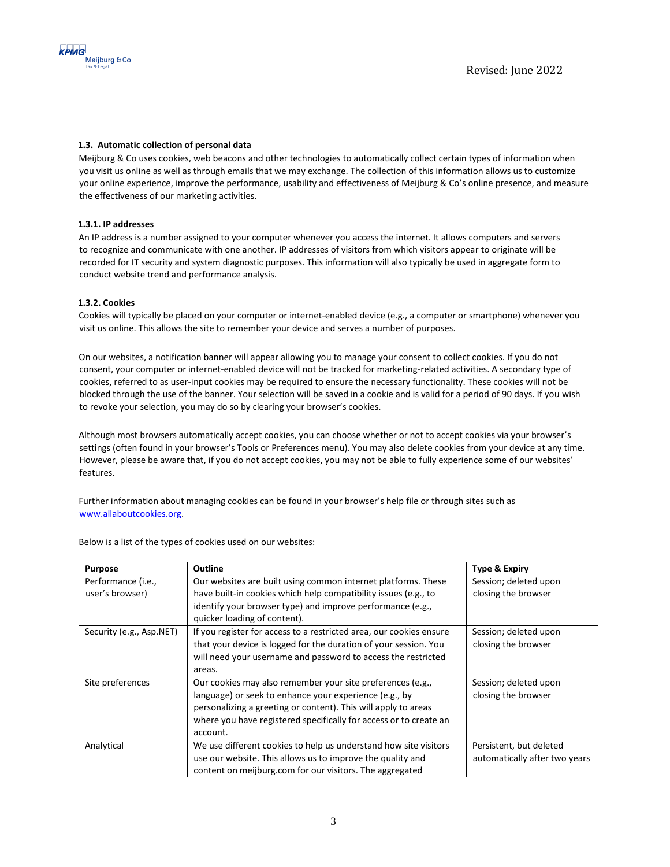

# **1.3. Automatic collection of personal data**

Meijburg & Co uses cookies, web beacons and other technologies to automatically collect certain types of information when you visit us online as well as through emails that we may exchange. The collection of this information allows us to customize your online experience, improve the performance, usability and effectiveness of Meijburg & Co's online presence, and measure the effectiveness of our marketing activities.

## **1.3.1. IP addresses**

An IP address is a number assigned to your computer whenever you access the internet. It allows computers and servers to recognize and communicate with one another. IP addresses of visitors from which visitors appear to originate will be recorded for IT security and system diagnostic purposes. This information will also typically be used in aggregate form to conduct website trend and performance analysis.

#### **1.3.2. Cookies**

Cookies will typically be placed on your computer or internet-enabled device (e.g., a computer or smartphone) whenever you visit us online. This allows the site to remember your device and serves a number of purposes.

On our websites, a notification banner will appear allowing you to manage your consent to collect cookies. If you do not consent, your computer or internet-enabled device will not be tracked for marketing-related activities. A secondary type of cookies, referred to as user-input cookies may be required to ensure the necessary functionality. These cookies will not be blocked through the use of the banner. Your selection will be saved in a cookie and is valid for a period of 90 days. If you wish to revoke your selection, you may do so by clearing your browser's cookies.

Although most browsers automatically accept cookies, you can choose whether or not to accept cookies via your browser's settings (often found in your browser's Tools or Preferences menu). You may also delete cookies from your device at any time. However, please be aware that, if you do not accept cookies, you may not be able to fully experience some of our websites' features.

Further information about managing cookies can be found in your browser's help file or through sites such as [www.allaboutcookies.org.](http://www.allaboutcookies.org/)

| <b>Purpose</b>           | <b>Outline</b>                                                      | <b>Type &amp; Expiry</b>      |
|--------------------------|---------------------------------------------------------------------|-------------------------------|
| Performance (i.e.,       | Our websites are built using common internet platforms. These       | Session; deleted upon         |
| user's browser)          | have built-in cookies which help compatibility issues (e.g., to     | closing the browser           |
|                          | identify your browser type) and improve performance (e.g.,          |                               |
|                          | quicker loading of content).                                        |                               |
| Security (e.g., Asp.NET) | If you register for access to a restricted area, our cookies ensure | Session; deleted upon         |
|                          | that your device is logged for the duration of your session. You    | closing the browser           |
|                          | will need your username and password to access the restricted       |                               |
|                          | areas.                                                              |                               |
| Site preferences         | Our cookies may also remember your site preferences (e.g.,          | Session; deleted upon         |
|                          | language) or seek to enhance your experience (e.g., by              | closing the browser           |
|                          | personalizing a greeting or content). This will apply to areas      |                               |
|                          | where you have registered specifically for access or to create an   |                               |
|                          | account.                                                            |                               |
| Analytical               | We use different cookies to help us understand how site visitors    | Persistent, but deleted       |
|                          | use our website. This allows us to improve the quality and          | automatically after two years |
|                          | content on meijburg.com for our visitors. The aggregated            |                               |

Below is a list of the types of cookies used on our websites: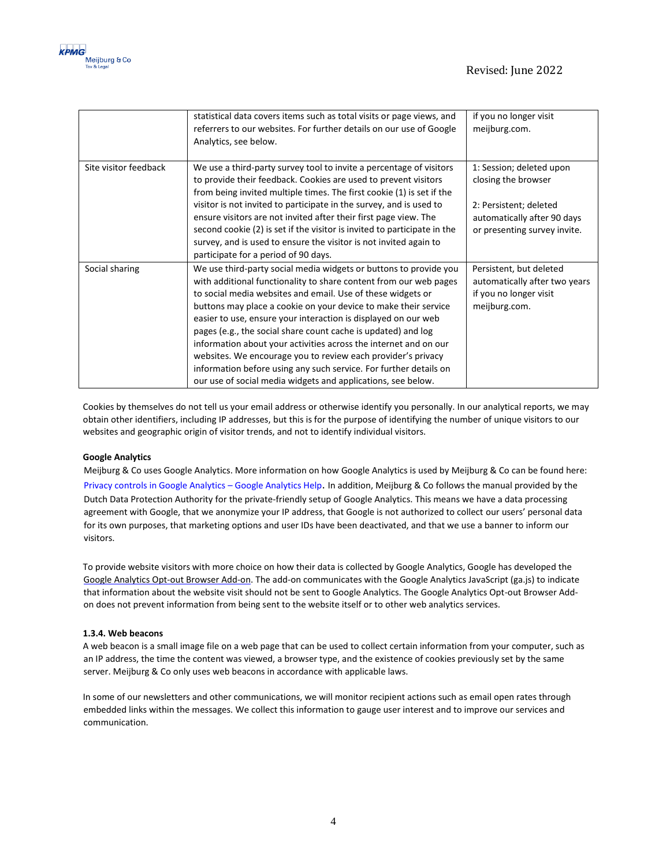

|                       | statistical data covers items such as total visits or page views, and<br>referrers to our websites. For further details on our use of Google<br>Analytics, see below.                                                                                                                                                                                                                                                                                                                                                                                                                                                                                                                | if you no longer visit<br>meijburg.com.                                                             |
|-----------------------|--------------------------------------------------------------------------------------------------------------------------------------------------------------------------------------------------------------------------------------------------------------------------------------------------------------------------------------------------------------------------------------------------------------------------------------------------------------------------------------------------------------------------------------------------------------------------------------------------------------------------------------------------------------------------------------|-----------------------------------------------------------------------------------------------------|
| Site visitor feedback | We use a third-party survey tool to invite a percentage of visitors<br>to provide their feedback. Cookies are used to prevent visitors<br>from being invited multiple times. The first cookie (1) is set if the                                                                                                                                                                                                                                                                                                                                                                                                                                                                      | 1: Session; deleted upon<br>closing the browser                                                     |
|                       | visitor is not invited to participate in the survey, and is used to<br>ensure visitors are not invited after their first page view. The<br>second cookie (2) is set if the visitor is invited to participate in the<br>survey, and is used to ensure the visitor is not invited again to<br>participate for a period of 90 days.                                                                                                                                                                                                                                                                                                                                                     | 2: Persistent; deleted<br>automatically after 90 days<br>or presenting survey invite.               |
| Social sharing        | We use third-party social media widgets or buttons to provide you<br>with additional functionality to share content from our web pages<br>to social media websites and email. Use of these widgets or<br>buttons may place a cookie on your device to make their service<br>easier to use, ensure your interaction is displayed on our web<br>pages (e.g., the social share count cache is updated) and log<br>information about your activities across the internet and on our<br>websites. We encourage you to review each provider's privacy<br>information before using any such service. For further details on<br>our use of social media widgets and applications, see below. | Persistent, but deleted<br>automatically after two years<br>if you no longer visit<br>meijburg.com. |

Cookies by themselves do not tell us your email address or otherwise identify you personally. In our analytical reports, we may obtain other identifiers, including IP addresses, but this is for the purpose of identifying the number of unique visitors to our websites and geographic origin of visitor trends, and not to identify individual visitors.

# **Google Analytics**

Meijburg & Co uses Google Analytics. More information on how Google Analytics is used by Meijburg & Co can be found here: [Privacy controls in Google Analytics](https://support.google.com/analytics/answer/9019185?hl=en%23zippy=%2Cin-this-article# ) – Google Analytics Help. In addition, Meijburg & Co follows the manual provided by the Dutch Data Protection Authority for the private-friendly setup of Google Analytics. This means we have a data processing agreement with Google, that we anonymize your IP address, that Google is not authorized to collect our users' personal data for its own purposes, that marketing options and user IDs have been deactivated, and that we use a banner to inform our visitors.

To provide website visitors with more choice on how their data is collected by Google Analytics, Google has developed the [Google Analytics Opt-out Browser Add-on. T](https://tools.google.com/dlpage/gaoptout?hl=en)he add-on communicates with the Google Analytics JavaScript (ga.js) to indicate that information about the website visit should not be sent to Google Analytics. The Google Analytics Opt-out Browser Addon does not prevent information from being sent to the website itself or to other web analytics services.

## **1.3.4. Web beacons**

A web beacon is a small image file on a web page that can be used to collect certain information from your computer, such as an IP address, the time the content was viewed, a browser type, and the existence of cookies previously set by the same server. Meijburg & Co only uses web beacons in accordance with applicable laws.

In some of our newsletters and other communications, we will monitor recipient actions such as email open rates through embedded links within the messages. We collect this information to gauge user interest and to improve our services and communication.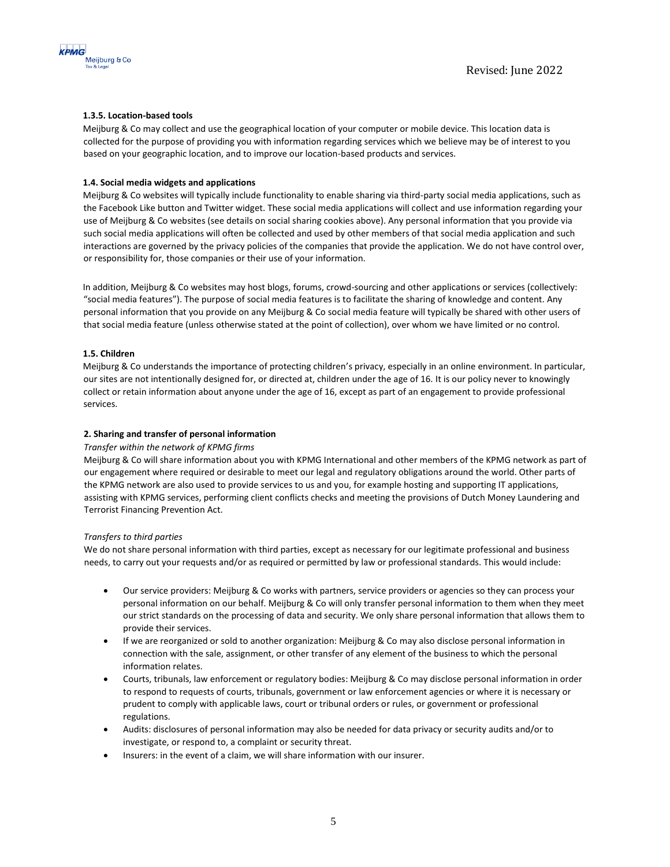

# **1.3.5. Location-based tools**

Meijburg & Co may collect and use the geographical location of your computer or mobile device. This location data is collected for the purpose of providing you with information regarding services which we believe may be of interest to you based on your geographic location, and to improve our location-based products and services.

## **1.4. Social media widgets and applications**

Meijburg & Co websites will typically include functionality to enable sharing via third-party social media applications, such as the Facebook Like button and Twitter widget. These social media applications will collect and use information regarding your use of Meijburg & Co websites (see details on social sharing cookies above). Any personal information that you provide via such social media applications will often be collected and used by other members of that social media application and such interactions are governed by the privacy policies of the companies that provide the application. We do not have control over, or responsibility for, those companies or their use of your information.

In addition, Meijburg & Co websites may host blogs, forums, crowd-sourcing and other applications or services (collectively: "social media features"). The purpose of social media features is to facilitate the sharing of knowledge and content. Any personal information that you provide on any Meijburg & Co social media feature will typically be shared with other users of that social media feature (unless otherwise stated at the point of collection), over whom we have limited or no control.

# **1.5. Children**

Meijburg & Co understands the importance of protecting children's privacy, especially in an online environment. In particular, our sites are not intentionally designed for, or directed at, children under the age of 16. It is our policy never to knowingly collect or retain information about anyone under the age of 16, except as part of an engagement to provide professional services.

#### **2. Sharing and transfer of personal information**

#### *Transfer within the network of KPMG firms*

Meijburg & Co will share information about you with KPMG International and other members of the KPMG network as part of our engagement where required or desirable to meet our legal and regulatory obligations around the world. Other parts of the KPMG network are also used to provide services to us and you, for example hosting and supporting IT applications, assisting with KPMG services, performing client conflicts checks and meeting the provisions of Dutch Money Laundering and Terrorist Financing Prevention Act.

#### *Transfers to third parties*

We do not share personal information with third parties, except as necessary for our legitimate professional and business needs, to carry out your requests and/or as required or permitted by law or professional standards. This would include:

- Our service providers: Meijburg & Co works with partners, service providers or agencies so they can process your personal information on our behalf. Meijburg & Co will only transfer personal information to them when they meet our strict standards on the processing of data and security. We only share personal information that allows them to provide their services.
- If we are reorganized or sold to another organization: Meijburg & Co may also disclose personal information in connection with the sale, assignment, or other transfer of any element of the business to which the personal information relates.
- Courts, tribunals, law enforcement or regulatory bodies: Meijburg & Co may disclose personal information in order to respond to requests of courts, tribunals, government or law enforcement agencies or where it is necessary or prudent to comply with applicable laws, court or tribunal orders or rules, or government or professional regulations.
- Audits: disclosures of personal information may also be needed for data privacy or security audits and/or to investigate, or respond to, a complaint or security threat.
- Insurers: in the event of a claim, we will share information with our insurer.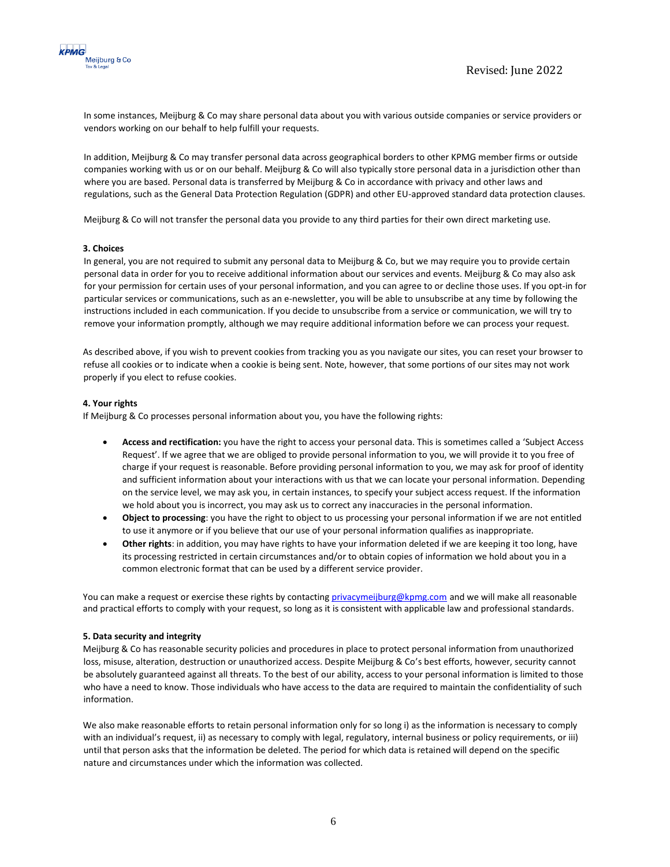

In some instances, Meijburg & Co may share personal data about you with various outside companies or service providers or vendors working on our behalf to help fulfill your requests.

In addition, Meijburg & Co may transfer personal data across geographical borders to other KPMG member firms or outside companies working with us or on our behalf. Meijburg & Co will also typically store personal data in a jurisdiction other than where you are based. Personal data is transferred by Meijburg & Co in accordance with privacy and other laws and regulations, such as the General Data Protection Regulation (GDPR) and other EU-approved standard data protection clauses.

Meijburg & Co will not transfer the personal data you provide to any third parties for their own direct marketing use.

#### **3. Choices**

In general, you are not required to submit any personal data to Meijburg & Co, but we may require you to provide certain personal data in order for you to receive additional information about our services and events. Meijburg & Co may also ask for your permission for certain uses of your personal information, and you can agree to or decline those uses. If you opt-in for particular services or communications, such as an e-newsletter, you will be able to unsubscribe at any time by following the instructions included in each communication. If you decide to unsubscribe from a service or communication, we will try to remove your information promptly, although we may require additional information before we can process your request.

As described above, if you wish to prevent cookies from tracking you as you navigate our sites, you can reset your browser to refuse all cookies or to indicate when a cookie is being sent. Note, however, that some portions of our sites may not work properly if you elect to refuse cookies.

#### **4. Your rights**

If Meijburg & Co processes personal information about you, you have the following rights:

- **Access and rectification:** you have the right to access your personal data. This is sometimes called a 'Subject Access Request'. If we agree that we are obliged to provide personal information to you, we will provide it to you free of charge if your request is reasonable. Before providing personal information to you, we may ask for proof of identity and sufficient information about your interactions with us that we can locate your personal information. Depending on the service level, we may ask you, in certain instances, to specify your subject access request. If the information we hold about you is incorrect, you may ask us to correct any inaccuracies in the personal information.
- **Object to processing**: you have the right to object to us processing your personal information if we are not entitled to use it anymore or if you believe that our use of your personal information qualifies as inappropriate.
- **Other rights**: in addition, you may have rights to have your information deleted if we are keeping it too long, have its processing restricted in certain circumstances and/or to obtain copies of information we hold about you in a common electronic format that can be used by a different service provider.

You can make a request or exercise these rights by contacting privacymeijburg@kpmg.com and we will make all reasonable and practical efforts to comply with your request, so long as it is consistent with applicable law and professional standards.

#### **5. Data security and integrity**

Meijburg & Co has reasonable security policies and procedures in place to protect personal information from unauthorized loss, misuse, alteration, destruction or unauthorized access. Despite Meijburg & Co's best efforts, however, security cannot be absolutely guaranteed against all threats. To the best of our ability, access to your personal information is limited to those who have a need to know. Those individuals who have access to the data are required to maintain the confidentiality of such information.

We also make reasonable efforts to retain personal information only for so long i) as the information is necessary to comply with an individual's request, ii) as necessary to comply with legal, regulatory, internal business or policy requirements, or iii) until that person asks that the information be deleted. The period for which data is retained will depend on the specific nature and circumstances under which the information was collected.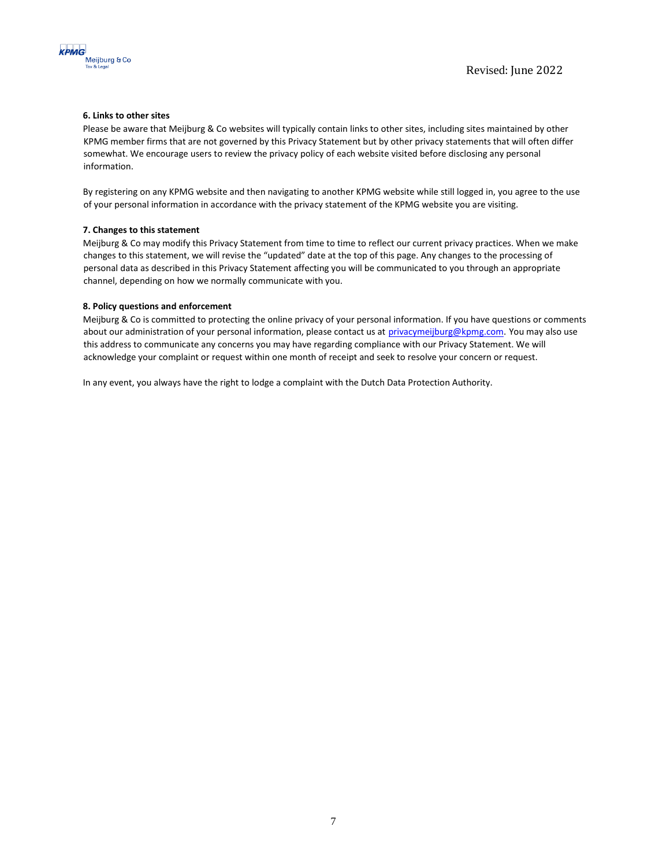



# **6. Links to other sites**

Please be aware that Meijburg & Co websites will typically contain links to other sites, including sites maintained by other KPMG member firms that are not governed by this Privacy Statement but by other privacy statements that will often differ somewhat. We encourage users to review the privacy policy of each website visited before disclosing any personal information.

By registering on any KPMG website and then navigating to another KPMG website while still logged in, you agree to the use of your personal information in accordance with the privacy statement of the KPMG website you are visiting.

#### **7. Changes to this statement**

Meijburg & Co may modify this Privacy Statement from time to time to reflect our current privacy practices. When we make changes to this statement, we will revise the "updated" date at the top of this page. Any changes to the processing of personal data as described in this Privacy Statement affecting you will be communicated to you through an appropriate channel, depending on how we normally communicate with you.

### **8. Policy questions and enforcement**

Meijburg & Co is committed to protecting the online privacy of your personal information. If you have questions or comments about our administration of your personal information, please contact us at privacymeijburg@kpmg.com. You may also use this address to communicate any concerns you may have regarding compliance with our Privacy Statement. We will acknowledge your complaint or request within one month of receipt and seek to resolve your concern or request.

In any event, you always have the right to lodge a complaint with the Dutch Data Protection Authority.